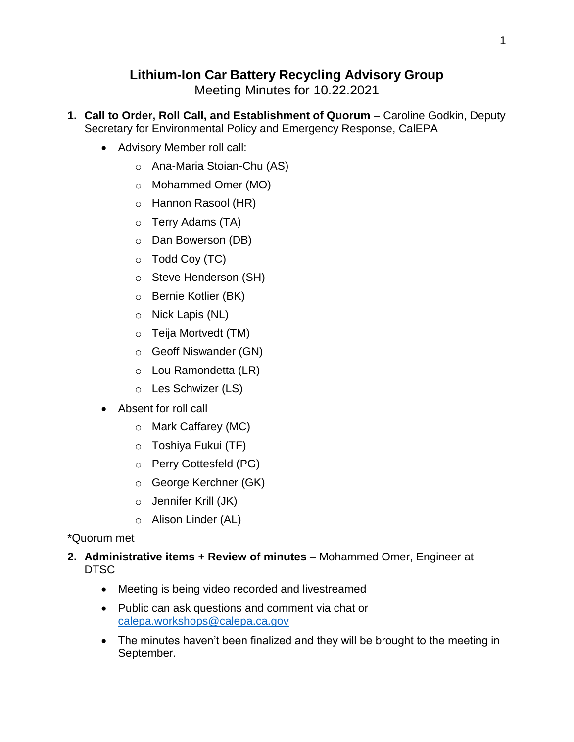# **Lithium-Ion Car Battery Recycling Advisory Group**

Meeting Minutes for 10.22.2021

- **1. Call to Order, Roll Call, and Establishment of Quorum** Caroline Godkin, Deputy Secretary for Environmental Policy and Emergency Response, CalEPA
	- Advisory Member roll call:
		- o Ana-Maria Stoian-Chu (AS)
		- o Mohammed Omer (MO)
		- o Hannon Rasool (HR)
		- o Terry Adams (TA)
		- o Dan Bowerson (DB)
		- $\circ$  Todd Coy (TC)
		- o Steve Henderson (SH)
		- o Bernie Kotlier (BK)
		- o Nick Lapis (NL)
		- o Teija Mortvedt (TM)
		- o Geoff Niswander (GN)
		- o Lou Ramondetta (LR)
		- o Les Schwizer (LS)
	- Absent for roll call
		- o Mark Caffarey (MC)
		- o Toshiya Fukui (TF)
		- o Perry Gottesfeld (PG)
		- o George Kerchner (GK)
		- o Jennifer Krill (JK)
		- o Alison Linder (AL)

## \*Quorum met

- **2. Administrative items + Review of minutes** Mohammed Omer, Engineer at DTSC
	- Meeting is being video recorded and livestreamed
	- Public can ask questions and comment via chat or [calepa.workshops@calepa.ca.gov](mailto:calepa.workshops@calepa.ca.gov)
	- The minutes haven't been finalized and they will be brought to the meeting in September.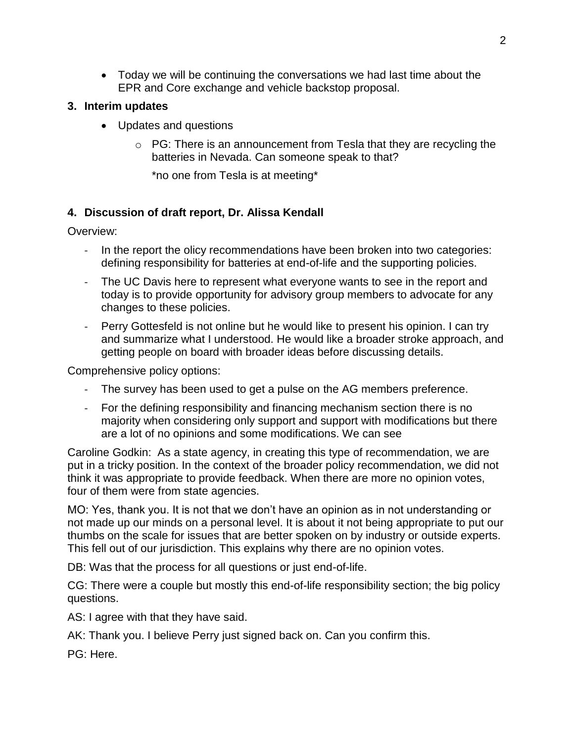Today we will be continuing the conversations we had last time about the EPR and Core exchange and vehicle backstop proposal.

### **3. Interim updates**

- Updates and questions
	- $\circ$  PG: There is an announcement from Tesla that they are recycling the batteries in Nevada. Can someone speak to that?

\*no one from Tesla is at meeting\*

## **4. Discussion of draft report, Dr. Alissa Kendall**

Overview:

- In the report the olicy recommendations have been broken into two categories: defining responsibility for batteries at end-of-life and the supporting policies.
- The UC Davis here to represent what everyone wants to see in the report and today is to provide opportunity for advisory group members to advocate for any changes to these policies.
- Perry Gottesfeld is not online but he would like to present his opinion. I can try and summarize what I understood. He would like a broader stroke approach, and getting people on board with broader ideas before discussing details.

Comprehensive policy options:

- The survey has been used to get a pulse on the AG members preference.
- For the defining responsibility and financing mechanism section there is no majority when considering only support and support with modifications but there are a lot of no opinions and some modifications. We can see

Caroline Godkin: As a state agency, in creating this type of recommendation, we are put in a tricky position. In the context of the broader policy recommendation, we did not think it was appropriate to provide feedback. When there are more no opinion votes, four of them were from state agencies.

MO: Yes, thank you. It is not that we don't have an opinion as in not understanding or not made up our minds on a personal level. It is about it not being appropriate to put our thumbs on the scale for issues that are better spoken on by industry or outside experts. This fell out of our jurisdiction. This explains why there are no opinion votes.

DB: Was that the process for all questions or just end-of-life.

CG: There were a couple but mostly this end-of-life responsibility section; the big policy questions.

AS: I agree with that they have said.

AK: Thank you. I believe Perry just signed back on. Can you confirm this.

PG: Here.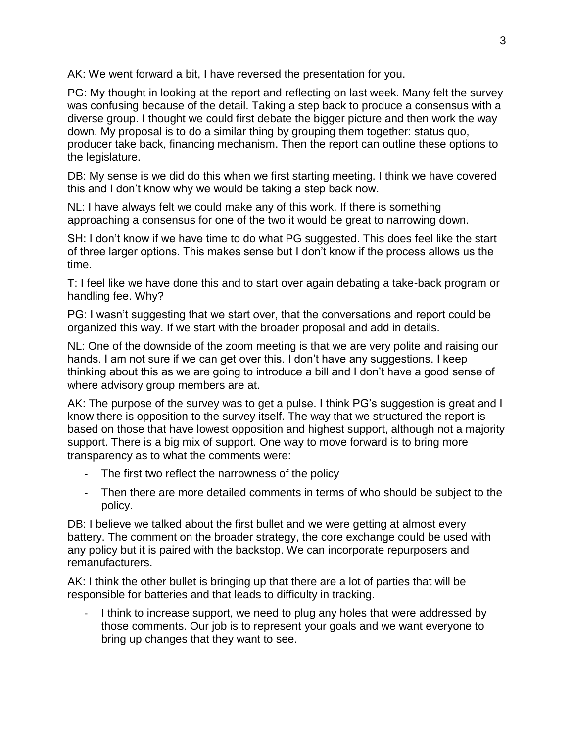AK: We went forward a bit, I have reversed the presentation for you.

PG: My thought in looking at the report and reflecting on last week. Many felt the survey was confusing because of the detail. Taking a step back to produce a consensus with a diverse group. I thought we could first debate the bigger picture and then work the way down. My proposal is to do a similar thing by grouping them together: status quo, producer take back, financing mechanism. Then the report can outline these options to the legislature.

DB: My sense is we did do this when we first starting meeting. I think we have covered this and I don't know why we would be taking a step back now.

NL: I have always felt we could make any of this work. If there is something approaching a consensus for one of the two it would be great to narrowing down.

SH: I don't know if we have time to do what PG suggested. This does feel like the start of three larger options. This makes sense but I don't know if the process allows us the time.

T: I feel like we have done this and to start over again debating a take-back program or handling fee. Why?

PG: I wasn't suggesting that we start over, that the conversations and report could be organized this way. If we start with the broader proposal and add in details.

NL: One of the downside of the zoom meeting is that we are very polite and raising our hands. I am not sure if we can get over this. I don't have any suggestions. I keep thinking about this as we are going to introduce a bill and I don't have a good sense of where advisory group members are at.

AK: The purpose of the survey was to get a pulse. I think PG's suggestion is great and I know there is opposition to the survey itself. The way that we structured the report is based on those that have lowest opposition and highest support, although not a majority support. There is a big mix of support. One way to move forward is to bring more transparency as to what the comments were:

- The first two reflect the narrowness of the policy
- Then there are more detailed comments in terms of who should be subject to the policy.

DB: I believe we talked about the first bullet and we were getting at almost every battery. The comment on the broader strategy, the core exchange could be used with any policy but it is paired with the backstop. We can incorporate repurposers and remanufacturers.

AK: I think the other bullet is bringing up that there are a lot of parties that will be responsible for batteries and that leads to difficulty in tracking.

I think to increase support, we need to plug any holes that were addressed by those comments. Our job is to represent your goals and we want everyone to bring up changes that they want to see.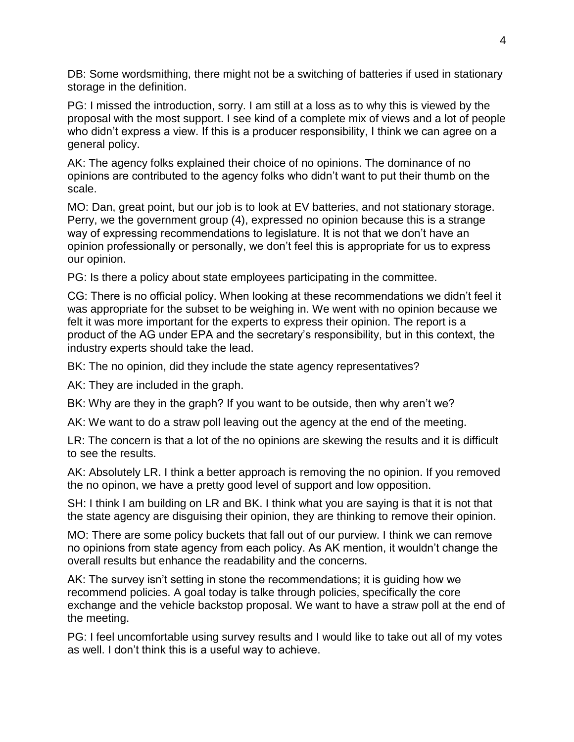DB: Some wordsmithing, there might not be a switching of batteries if used in stationary storage in the definition.

PG: I missed the introduction, sorry. I am still at a loss as to why this is viewed by the proposal with the most support. I see kind of a complete mix of views and a lot of people who didn't express a view. If this is a producer responsibility, I think we can agree on a general policy.

AK: The agency folks explained their choice of no opinions. The dominance of no opinions are contributed to the agency folks who didn't want to put their thumb on the scale.

MO: Dan, great point, but our job is to look at EV batteries, and not stationary storage. Perry, we the government group (4), expressed no opinion because this is a strange way of expressing recommendations to legislature. It is not that we don't have an opinion professionally or personally, we don't feel this is appropriate for us to express our opinion.

PG: Is there a policy about state employees participating in the committee.

CG: There is no official policy. When looking at these recommendations we didn't feel it was appropriate for the subset to be weighing in. We went with no opinion because we felt it was more important for the experts to express their opinion. The report is a product of the AG under EPA and the secretary's responsibility, but in this context, the industry experts should take the lead.

BK: The no opinion, did they include the state agency representatives?

AK: They are included in the graph.

BK: Why are they in the graph? If you want to be outside, then why aren't we?

AK: We want to do a straw poll leaving out the agency at the end of the meeting.

LR: The concern is that a lot of the no opinions are skewing the results and it is difficult to see the results.

AK: Absolutely LR. I think a better approach is removing the no opinion. If you removed the no opinon, we have a pretty good level of support and low opposition.

SH: I think I am building on LR and BK. I think what you are saying is that it is not that the state agency are disguising their opinion, they are thinking to remove their opinion.

MO: There are some policy buckets that fall out of our purview. I think we can remove no opinions from state agency from each policy. As AK mention, it wouldn't change the overall results but enhance the readability and the concerns.

AK: The survey isn't setting in stone the recommendations; it is guiding how we recommend policies. A goal today is talke through policies, specifically the core exchange and the vehicle backstop proposal. We want to have a straw poll at the end of the meeting.

PG: I feel uncomfortable using survey results and I would like to take out all of my votes as well. I don't think this is a useful way to achieve.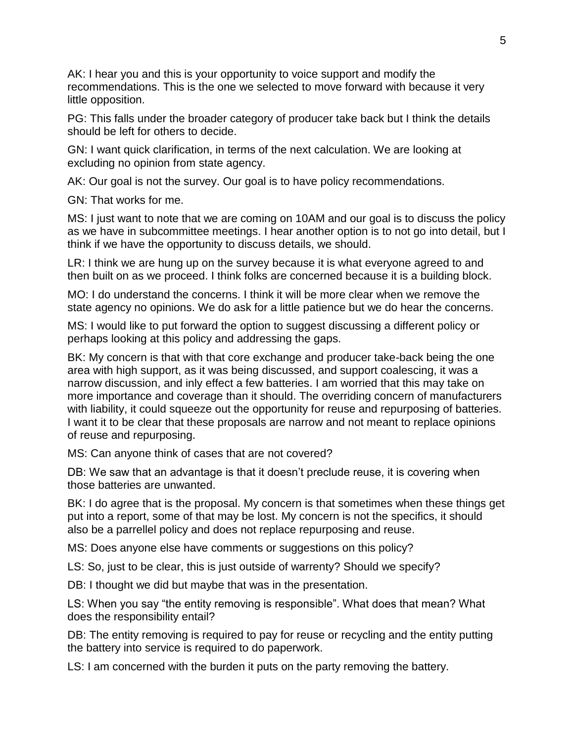AK: I hear you and this is your opportunity to voice support and modify the recommendations. This is the one we selected to move forward with because it very little opposition.

PG: This falls under the broader category of producer take back but I think the details should be left for others to decide.

GN: I want quick clarification, in terms of the next calculation. We are looking at excluding no opinion from state agency.

AK: Our goal is not the survey. Our goal is to have policy recommendations.

GN: That works for me.

MS: I just want to note that we are coming on 10AM and our goal is to discuss the policy as we have in subcommittee meetings. I hear another option is to not go into detail, but I think if we have the opportunity to discuss details, we should.

LR: I think we are hung up on the survey because it is what everyone agreed to and then built on as we proceed. I think folks are concerned because it is a building block.

MO: I do understand the concerns. I think it will be more clear when we remove the state agency no opinions. We do ask for a little patience but we do hear the concerns.

MS: I would like to put forward the option to suggest discussing a different policy or perhaps looking at this policy and addressing the gaps.

BK: My concern is that with that core exchange and producer take-back being the one area with high support, as it was being discussed, and support coalescing, it was a narrow discussion, and inly effect a few batteries. I am worried that this may take on more importance and coverage than it should. The overriding concern of manufacturers with liability, it could squeeze out the opportunity for reuse and repurposing of batteries. I want it to be clear that these proposals are narrow and not meant to replace opinions of reuse and repurposing.

MS: Can anyone think of cases that are not covered?

DB: We saw that an advantage is that it doesn't preclude reuse, it is covering when those batteries are unwanted.

BK: I do agree that is the proposal. My concern is that sometimes when these things get put into a report, some of that may be lost. My concern is not the specifics, it should also be a parrellel policy and does not replace repurposing and reuse.

MS: Does anyone else have comments or suggestions on this policy?

LS: So, just to be clear, this is just outside of warrenty? Should we specify?

DB: I thought we did but maybe that was in the presentation.

LS: When you say "the entity removing is responsible". What does that mean? What does the responsibility entail?

DB: The entity removing is required to pay for reuse or recycling and the entity putting the battery into service is required to do paperwork.

LS: I am concerned with the burden it puts on the party removing the battery.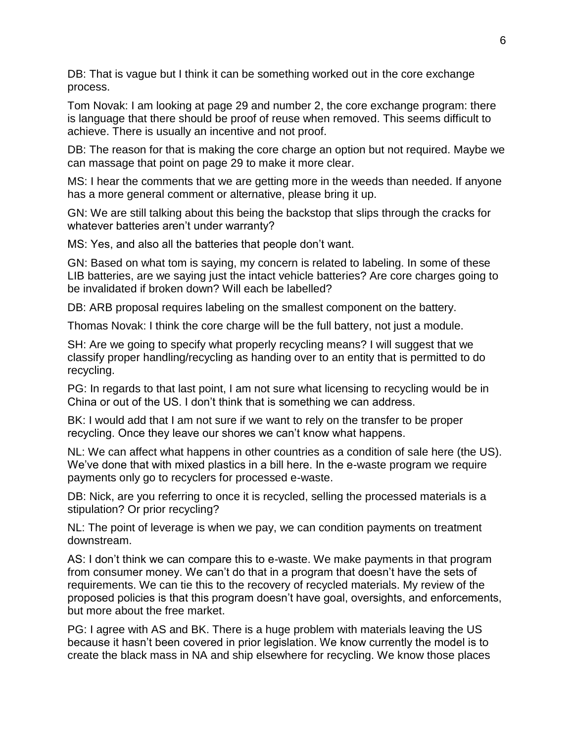DB: That is vague but I think it can be something worked out in the core exchange process.

Tom Novak: I am looking at page 29 and number 2, the core exchange program: there is language that there should be proof of reuse when removed. This seems difficult to achieve. There is usually an incentive and not proof.

DB: The reason for that is making the core charge an option but not required. Maybe we can massage that point on page 29 to make it more clear.

MS: I hear the comments that we are getting more in the weeds than needed. If anyone has a more general comment or alternative, please bring it up.

GN: We are still talking about this being the backstop that slips through the cracks for whatever batteries aren't under warranty?

MS: Yes, and also all the batteries that people don't want.

GN: Based on what tom is saying, my concern is related to labeling. In some of these LIB batteries, are we saying just the intact vehicle batteries? Are core charges going to be invalidated if broken down? Will each be labelled?

DB: ARB proposal requires labeling on the smallest component on the battery.

Thomas Novak: I think the core charge will be the full battery, not just a module.

SH: Are we going to specify what properly recycling means? I will suggest that we classify proper handling/recycling as handing over to an entity that is permitted to do recycling.

PG: In regards to that last point, I am not sure what licensing to recycling would be in China or out of the US. I don't think that is something we can address.

BK: I would add that I am not sure if we want to rely on the transfer to be proper recycling. Once they leave our shores we can't know what happens.

NL: We can affect what happens in other countries as a condition of sale here (the US). We've done that with mixed plastics in a bill here. In the e-waste program we require payments only go to recyclers for processed e-waste.

DB: Nick, are you referring to once it is recycled, selling the processed materials is a stipulation? Or prior recycling?

NL: The point of leverage is when we pay, we can condition payments on treatment downstream.

AS: I don't think we can compare this to e-waste. We make payments in that program from consumer money. We can't do that in a program that doesn't have the sets of requirements. We can tie this to the recovery of recycled materials. My review of the proposed policies is that this program doesn't have goal, oversights, and enforcements, but more about the free market.

PG: I agree with AS and BK. There is a huge problem with materials leaving the US because it hasn't been covered in prior legislation. We know currently the model is to create the black mass in NA and ship elsewhere for recycling. We know those places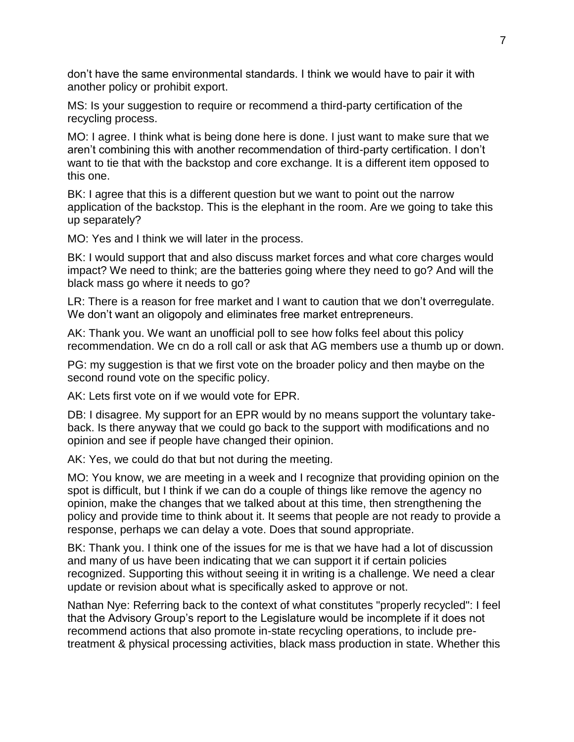don't have the same environmental standards. I think we would have to pair it with another policy or prohibit export.

MS: Is your suggestion to require or recommend a third-party certification of the recycling process.

MO: I agree. I think what is being done here is done. I just want to make sure that we aren't combining this with another recommendation of third-party certification. I don't want to tie that with the backstop and core exchange. It is a different item opposed to this one.

BK: I agree that this is a different question but we want to point out the narrow application of the backstop. This is the elephant in the room. Are we going to take this up separately?

MO: Yes and I think we will later in the process.

BK: I would support that and also discuss market forces and what core charges would impact? We need to think; are the batteries going where they need to go? And will the black mass go where it needs to go?

LR: There is a reason for free market and I want to caution that we don't overregulate. We don't want an oligopoly and eliminates free market entrepreneurs.

AK: Thank you. We want an unofficial poll to see how folks feel about this policy recommendation. We cn do a roll call or ask that AG members use a thumb up or down.

PG: my suggestion is that we first vote on the broader policy and then maybe on the second round vote on the specific policy.

AK: Lets first vote on if we would vote for EPR.

DB: I disagree. My support for an EPR would by no means support the voluntary takeback. Is there anyway that we could go back to the support with modifications and no opinion and see if people have changed their opinion.

AK: Yes, we could do that but not during the meeting.

MO: You know, we are meeting in a week and I recognize that providing opinion on the spot is difficult, but I think if we can do a couple of things like remove the agency no opinion, make the changes that we talked about at this time, then strengthening the policy and provide time to think about it. It seems that people are not ready to provide a response, perhaps we can delay a vote. Does that sound appropriate.

BK: Thank you. I think one of the issues for me is that we have had a lot of discussion and many of us have been indicating that we can support it if certain policies recognized. Supporting this without seeing it in writing is a challenge. We need a clear update or revision about what is specifically asked to approve or not.

Nathan Nye: Referring back to the context of what constitutes "properly recycled": I feel that the Advisory Group's report to the Legislature would be incomplete if it does not recommend actions that also promote in-state recycling operations, to include pretreatment & physical processing activities, black mass production in state. Whether this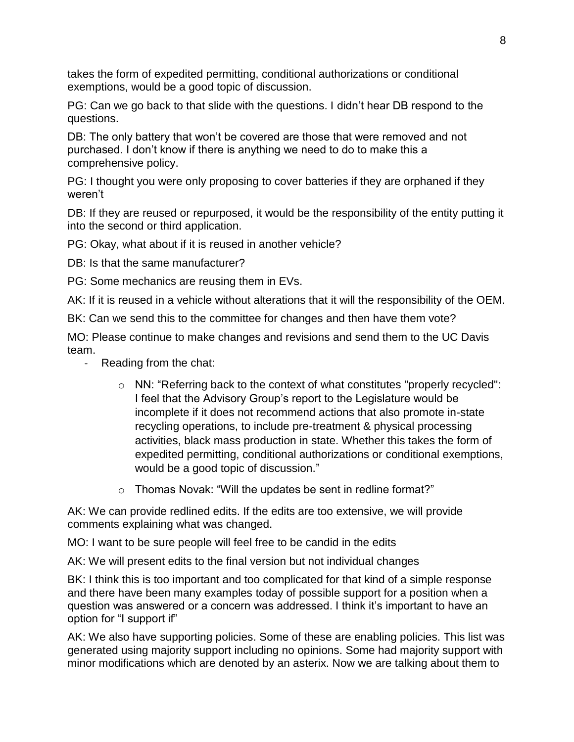takes the form of expedited permitting, conditional authorizations or conditional exemptions, would be a good topic of discussion.

PG: Can we go back to that slide with the questions. I didn't hear DB respond to the questions.

DB: The only battery that won't be covered are those that were removed and not purchased. I don't know if there is anything we need to do to make this a comprehensive policy.

PG: I thought you were only proposing to cover batteries if they are orphaned if they weren't

DB: If they are reused or repurposed, it would be the responsibility of the entity putting it into the second or third application.

PG: Okay, what about if it is reused in another vehicle?

DB: Is that the same manufacturer?

PG: Some mechanics are reusing them in EVs.

AK: If it is reused in a vehicle without alterations that it will the responsibility of the OEM.

BK: Can we send this to the committee for changes and then have them vote?

MO: Please continue to make changes and revisions and send them to the UC Davis team.

- Reading from the chat:
	- o NN: "Referring back to the context of what constitutes "properly recycled": I feel that the Advisory Group's report to the Legislature would be incomplete if it does not recommend actions that also promote in-state recycling operations, to include pre-treatment & physical processing activities, black mass production in state. Whether this takes the form of expedited permitting, conditional authorizations or conditional exemptions, would be a good topic of discussion."
	- o Thomas Novak: "Will the updates be sent in redline format?"

AK: We can provide redlined edits. If the edits are too extensive, we will provide comments explaining what was changed.

MO: I want to be sure people will feel free to be candid in the edits

AK: We will present edits to the final version but not individual changes

BK: I think this is too important and too complicated for that kind of a simple response and there have been many examples today of possible support for a position when a question was answered or a concern was addressed. I think it's important to have an option for "I support if"

AK: We also have supporting policies. Some of these are enabling policies. This list was generated using majority support including no opinions. Some had majority support with minor modifications which are denoted by an asterix. Now we are talking about them to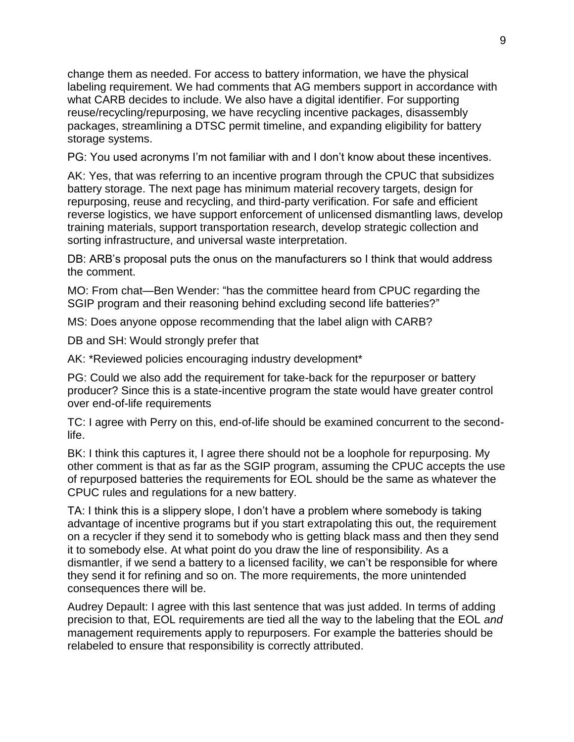change them as needed. For access to battery information, we have the physical labeling requirement. We had comments that AG members support in accordance with what CARB decides to include. We also have a digital identifier. For supporting reuse/recycling/repurposing, we have recycling incentive packages, disassembly packages, streamlining a DTSC permit timeline, and expanding eligibility for battery storage systems.

PG: You used acronyms I'm not familiar with and I don't know about these incentives.

AK: Yes, that was referring to an incentive program through the CPUC that subsidizes battery storage. The next page has minimum material recovery targets, design for repurposing, reuse and recycling, and third-party verification. For safe and efficient reverse logistics, we have support enforcement of unlicensed dismantling laws, develop training materials, support transportation research, develop strategic collection and sorting infrastructure, and universal waste interpretation.

DB: ARB's proposal puts the onus on the manufacturers so I think that would address the comment.

MO: From chat—Ben Wender: "has the committee heard from CPUC regarding the SGIP program and their reasoning behind excluding second life batteries?"

MS: Does anyone oppose recommending that the label align with CARB?

DB and SH: Would strongly prefer that

AK: \*Reviewed policies encouraging industry development\*

PG: Could we also add the requirement for take-back for the repurposer or battery producer? Since this is a state-incentive program the state would have greater control over end-of-life requirements

TC: I agree with Perry on this, end-of-life should be examined concurrent to the secondlife.

BK: I think this captures it, I agree there should not be a loophole for repurposing. My other comment is that as far as the SGIP program, assuming the CPUC accepts the use of repurposed batteries the requirements for EOL should be the same as whatever the CPUC rules and regulations for a new battery.

TA: I think this is a slippery slope, I don't have a problem where somebody is taking advantage of incentive programs but if you start extrapolating this out, the requirement on a recycler if they send it to somebody who is getting black mass and then they send it to somebody else. At what point do you draw the line of responsibility. As a dismantler, if we send a battery to a licensed facility, we can't be responsible for where they send it for refining and so on. The more requirements, the more unintended consequences there will be.

Audrey Depault: I agree with this last sentence that was just added. In terms of adding precision to that, EOL requirements are tied all the way to the labeling that the EOL *and* management requirements apply to repurposers. For example the batteries should be relabeled to ensure that responsibility is correctly attributed.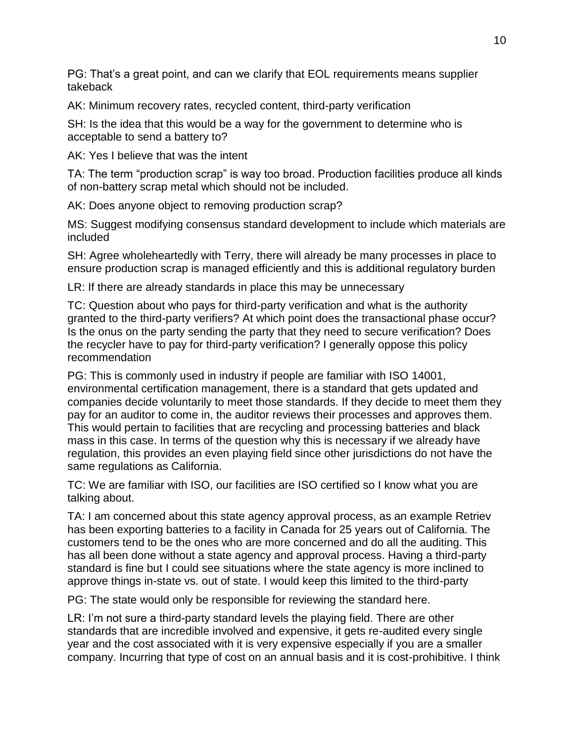PG: That's a great point, and can we clarify that EOL requirements means supplier takeback

AK: Minimum recovery rates, recycled content, third-party verification

SH: Is the idea that this would be a way for the government to determine who is acceptable to send a battery to?

AK: Yes I believe that was the intent

TA: The term "production scrap" is way too broad. Production facilities produce all kinds of non-battery scrap metal which should not be included.

AK: Does anyone object to removing production scrap?

MS: Suggest modifying consensus standard development to include which materials are included

SH: Agree wholeheartedly with Terry, there will already be many processes in place to ensure production scrap is managed efficiently and this is additional regulatory burden

LR: If there are already standards in place this may be unnecessary

TC: Question about who pays for third-party verification and what is the authority granted to the third-party verifiers? At which point does the transactional phase occur? Is the onus on the party sending the party that they need to secure verification? Does the recycler have to pay for third-party verification? I generally oppose this policy recommendation

PG: This is commonly used in industry if people are familiar with ISO 14001, environmental certification management, there is a standard that gets updated and companies decide voluntarily to meet those standards. If they decide to meet them they pay for an auditor to come in, the auditor reviews their processes and approves them. This would pertain to facilities that are recycling and processing batteries and black mass in this case. In terms of the question why this is necessary if we already have regulation, this provides an even playing field since other jurisdictions do not have the same regulations as California.

TC: We are familiar with ISO, our facilities are ISO certified so I know what you are talking about.

TA: I am concerned about this state agency approval process, as an example Retriev has been exporting batteries to a facility in Canada for 25 years out of California. The customers tend to be the ones who are more concerned and do all the auditing. This has all been done without a state agency and approval process. Having a third-party standard is fine but I could see situations where the state agency is more inclined to approve things in-state vs. out of state. I would keep this limited to the third-party

PG: The state would only be responsible for reviewing the standard here.

LR: I'm not sure a third-party standard levels the playing field. There are other standards that are incredible involved and expensive, it gets re-audited every single year and the cost associated with it is very expensive especially if you are a smaller company. Incurring that type of cost on an annual basis and it is cost-prohibitive. I think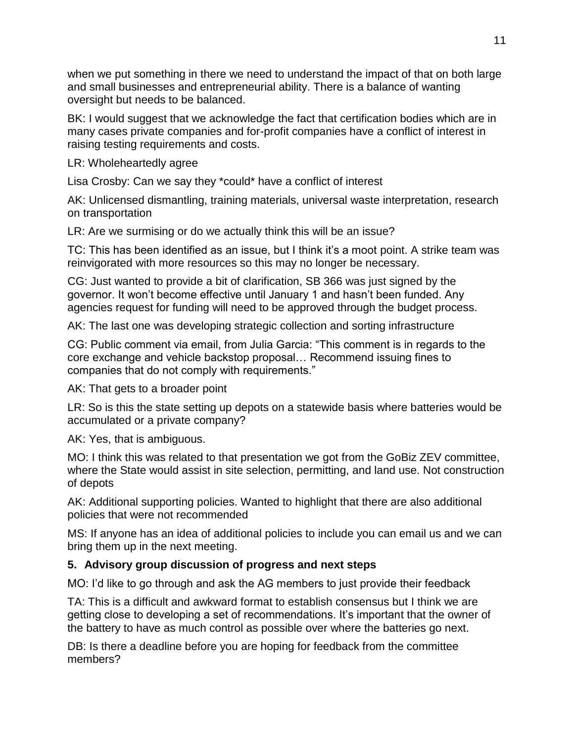when we put something in there we need to understand the impact of that on both large and small businesses and entrepreneurial ability. There is a balance of wanting oversight but needs to be balanced.

BK: I would suggest that we acknowledge the fact that certification bodies which are in many cases private companies and for-profit companies have a conflict of interest in raising testing requirements and costs.

LR: Wholeheartedly agree

Lisa Crosby: Can we say they \*could\* have a conflict of interest

AK: Unlicensed dismantling, training materials, universal waste interpretation, research on transportation

LR: Are we surmising or do we actually think this will be an issue?

TC: This has been identified as an issue, but I think it's a moot point. A strike team was reinvigorated with more resources so this may no longer be necessary.

CG: Just wanted to provide a bit of clarification, SB 366 was just signed by the governor. It won't become effective until January 1 and hasn't been funded. Any agencies request for funding will need to be approved through the budget process.

AK: The last one was developing strategic collection and sorting infrastructure

CG: Public comment via email, from Julia Garcia: "This comment is in regards to the core exchange and vehicle backstop proposal… Recommend issuing fines to companies that do not comply with requirements."

AK: That gets to a broader point

LR: So is this the state setting up depots on a statewide basis where batteries would be accumulated or a private company?

AK: Yes, that is ambiguous.

MO: I think this was related to that presentation we got from the GoBiz ZEV committee, where the State would assist in site selection, permitting, and land use. Not construction of depots

AK: Additional supporting policies. Wanted to highlight that there are also additional policies that were not recommended

MS: If anyone has an idea of additional policies to include you can email us and we can bring them up in the next meeting.

## **5. Advisory group discussion of progress and next steps**

MO: I'd like to go through and ask the AG members to just provide their feedback

TA: This is a difficult and awkward format to establish consensus but I think we are getting close to developing a set of recommendations. It's important that the owner of the battery to have as much control as possible over where the batteries go next.

DB: Is there a deadline before you are hoping for feedback from the committee members?